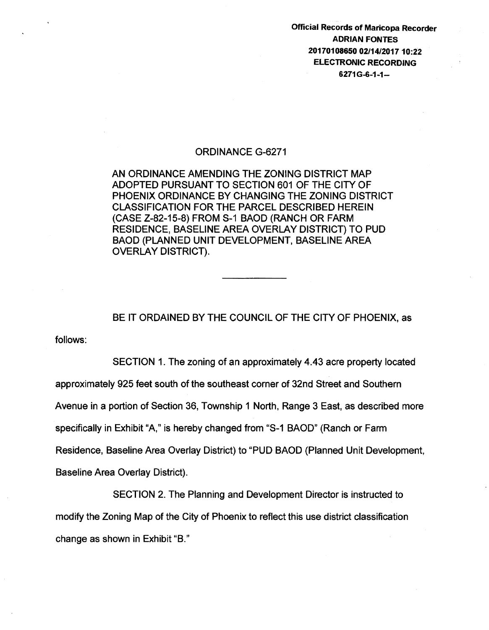Official Records of Maricopa Recorder ADRIAN FONTES 20170108650 02114/201710:22 ELECTRONIC RECORDING 6271G-6-1-1-

## ORDINANCE G-6271

AN ORDINANCE AMENDING THE ZONING DISTRICT MAP ADOPTED PURSUANT TO SECTION 601 OF THE CITY OF PHOENIX ORDINANCE BY CHANGING THE ZONING DISTRICT CLASSIFICATION FOR THE PARCEL DESCRIBED HEREIN (CASE Z-82-15-8) FROM S-1 BAOD (RANCH OR FARM RESIDENCE, BASELINE AREA OVERLAY DISTRICT) TO PUD BAOD (PLANNED UNIT DEVELOPMENT, BASELINE AREA OVERLAY DISTRICT).

BE IT ORDAINED BY THE COUNCIL OF THE CITY OF PHOENIX, as

follows:

SECTION 1. The zoning of an approximately 4.43 acre property located approximately 925 feet south of the southeast corner of 32nd Street and Southern Avenue in a portion of Section 36, Township 1 North, Range 3 East, as described more specifically in Exhibit "A," is hereby changed from "S-1 BAOD" (Ranch or Farm Residence, Baseline Area Overlay District) to "PUD BAOD (Planned Unit Development, Baseline Area Overlay District).

SECTION 2. The Planning and Development Director is instructed to modify the Zoning Map of the City of Phoenix to reflect this use district classification change as shown in Exhibit "B."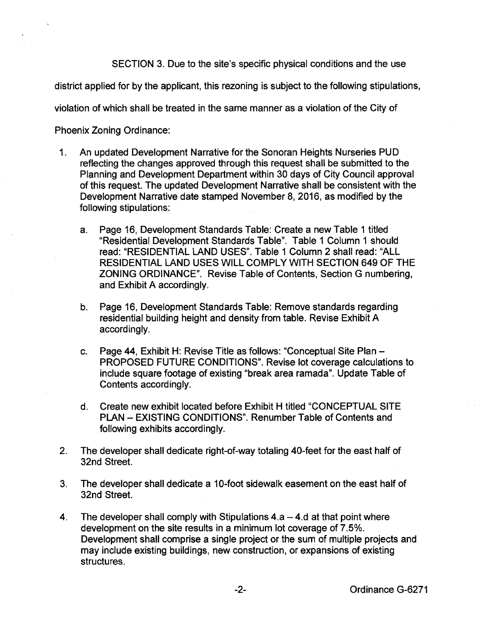SECTION 3. Due to the site's specific physical conditions and the use

district applied for by the applicant, this rezoning is subject to the following stipulations,

violation of which shall be treated in the same manner as a violation of the City of

Phoenix Zoning Ordinance:

- 1. An updated Development Narrative for the Sonoran Heights Nurseries PUD reflecting the changes approved through this request shall be submitted to the Planning and Development Department within 30 days of City Council approval of this request. The updated Development Narrative shall be consistent with the Development Narrative date stamped November 8, 2016, as modified by the following stipulations:
	- a. Page 16, Development Standards Table: Create a new Table 1 titled "Residential Development Standards Table". Table 1 Column 1 should read: "RESIDENTIAL LAND USES". Table 1 Column 2 shall read: "ALL RESIDENTIAL LAND USES WILL COMPLY WITH SECTION 649 OF THE ZONING ORDINANCE". Revise Table of Contents, Section G numbering, and Exhibit A accordingly.
	- b. Page 16, Development Standards Table: Remove standards regarding residential building height and density from table. Revise Exhibit A accordingly.
	- c. Page 44, Exhibit H: Revise Title as follows: "Conceptual Site Plan -PROPOSED FUTURE CONDITIONS". Revise lot coverage calculations to include square footage of existing "break area ramada". Update Table of Contents accordingly.
	- d. Create new exhibit located before Exhibit H titled "CONCEPTUAL SITE PLAN - EXISTING CONDITIONS". Renumber Table of Contents and following exhibits accordingly.
- 2. The developer shall dedicate right-of-way totaling 40-feet for the east half of 32nd Street.
- 3. The developer shall dedicate a 10-foot sidewalk easement on the east half of 32nd Street.
- 4. The developer shall comply with Stipulations  $4.a 4.d$  at that point where development on the site results in a minimum lot coverage of 7.5%. Development shall comprise a single project or the sum of multiple projects and may include existing buildings, new construction, or expansions of existing structures.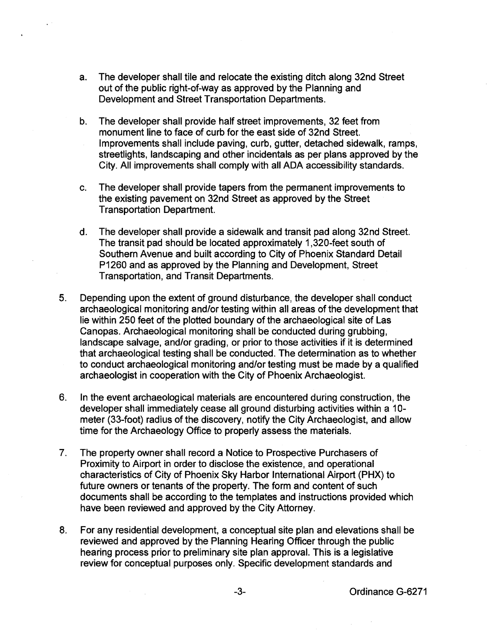- a. The developer shall tile and relocate the existing ditch along 32nd Street out of the public right-of-way as approved by the Planning and Development and Street Transportation Departments.
- b. The developer shall provide half street improvements, 32 feet from monument line to face of curb for the east side of 32nd Street. Improvements shall include paving, curb, gutter, detached sidewalk, ramps, streetlights, landscaping and other incidentals as per plans approved by the City. All improvements shall comply with all ADA accessibility standards.
- c. The developer shall provide tapers from the permanent improvements to the existing pavement on 32nd Street as approved by the Street Transportation Department.
- d. The developer shall provide a sidewalk and transit pad along 32nd Street. The transit pad should be located approximately 1,320-feet south of Southern Avenue and built according to City of Phoenix Standard Detail P1260 and as approved by the Planning and Development, Street Transportation, and Transit Departments.
- 5. Depending upon the extent of ground disturbance, the developer shall conduct archaeological monitoring and/or testing within all areas of the development that lie within 250 feet of the plotted boundary of the archaeological site of Las Canopas. Archaeological monitoring shall be conducted during grubbing, landscape salvage, and/or grading, or prior to those activities if it is determined that archaeological testing shall be conducted. The determination as to whether to conduct archaeological monitoring and/or testing must be made by a qualified archaeologist in cooperation with the City of Phoenix Archaeologist.
- 6. In the event archaeological materials are encountered during construction, the developer shall immediately cease all ground disturbing activities within a 10meter (33-foot) radius of the discovery, notify the City Archaeologist, and allow time for the Archaeology Office to properly assess the materials.
- 7. The property owner shall record a Notice to Prospective Purchasers of Proximity to Airport in order to disclose the existence, and operational characteristics of City of Phoenix Sky Harbor International Airport (PHX) to future owners or tenants of the property. The form and content of such documents shall be according to the templates and instructions provided which have been reviewed and approved by the City Attorney.
- 8. For any residential development, a conceptual site plan and elevations shall be reviewed and approved by the Planning Hearing Officer through the public hearing process prior to preliminary site plan approval. This is a legislative review for conceptual purposes only. Specific development standards and

-3- Ordinance G-6271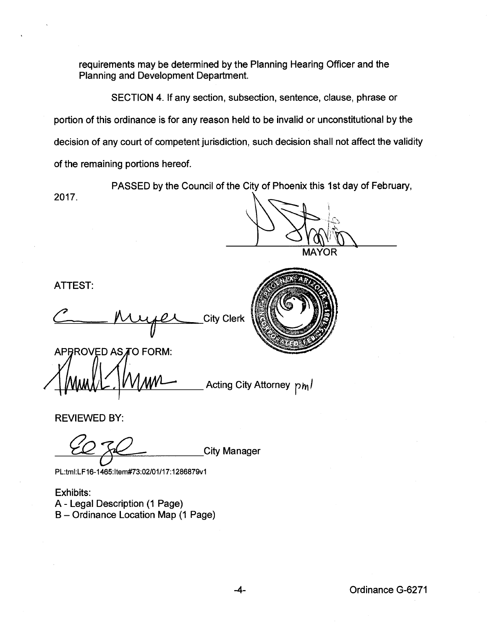requirements may be determined by the Planning Hearing Officer and the Planning and Development Department.

SECTION 4. If any section, subsection, sentence, clause, phrase or portion of this ordinance is for any reason held to be invalid or unconstitutional by the decision of any court of competent jurisdiction, such decision shall not affect the validity of the remaining portions hereof.

PASSED by the Council of the City of Phoenix this 1st day of February,

2017.

MAYOR

ATTEST:

**City Clerk** 



APBROVED AS TO FORM:

Acting City Attorney pml

REVIEWED BY:

City Manager

PL:tmi:LF16-1465: ltem#73:02/01/17: 1286879v1

Exhibits: A- Legal Description (1 Page) B- Ordinance Location Map (1 Page)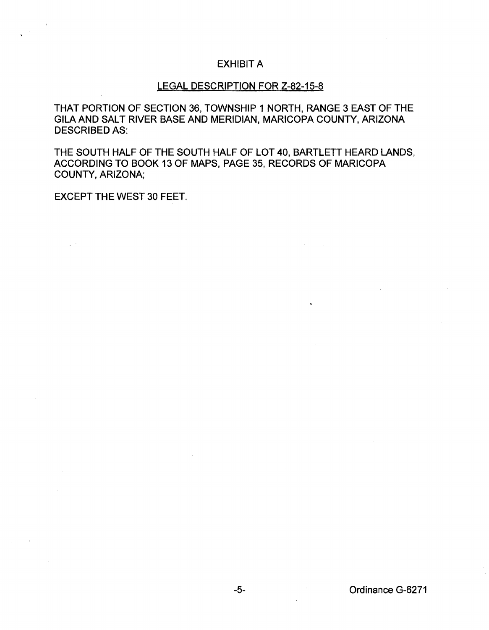## EXHIBIT A

## LEGAL DESCRIPTION FOR Z-82-15-8

THAT PORTION OF SECTION 36, TOWNSHIP 1 NORTH, RANGE 3 EAST OF THE GILA AND SALT RIVER BASE AND MERIDIAN, MARICOPA COUNTY, ARIZONA DESCRIBED AS:

THE SOUTH HALF OF THE SOUTH HALF OF LOT 40, BARTLETT HEARD LANDS, ACCORDING TO BOOK 13 OF MAPS, PAGE 35, RECORDS OF MARICOPA COUNTY, ARIZONA;

EXCEPT THE WEST 30 FEET.

 $\sim 10$